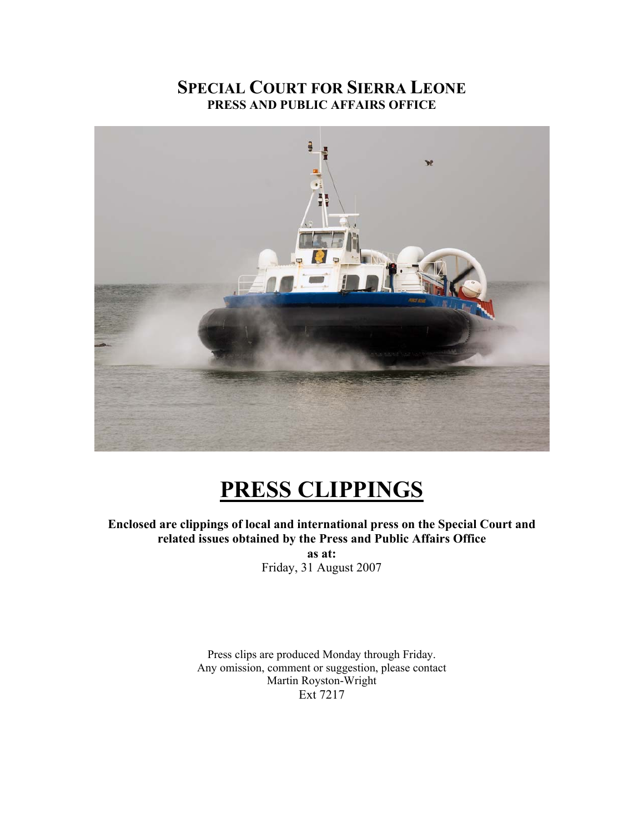# **SPECIAL COURT FOR SIERRA LEONE PRESS AND PUBLIC AFFAIRS OFFICE**



# **PRESS CLIPPINGS**

**Enclosed are clippings of local and international press on the Special Court and related issues obtained by the Press and Public Affairs Office** 

**as at:**  Friday, 31 August 2007

Press clips are produced Monday through Friday. Any omission, comment or suggestion, please contact Martin Royston-Wright Ext 7217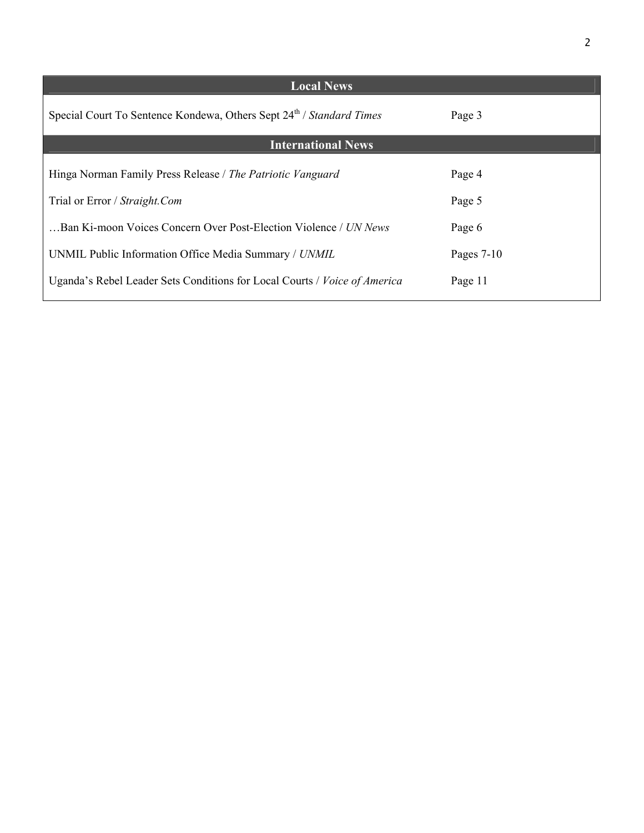| <b>Local News</b>                                                                |              |
|----------------------------------------------------------------------------------|--------------|
| Special Court To Sentence Kondewa, Others Sept 24 <sup>th</sup> / Standard Times | Page 3       |
| <b>International News</b>                                                        |              |
| Hinga Norman Family Press Release / The Patriotic Vanguard                       | Page 4       |
| Trial or Error / Straight.Com                                                    | Page 5       |
| Ban Ki-moon Voices Concern Over Post-Election Violence / UN News                 | Page 6       |
| UNMIL Public Information Office Media Summary / UNMIL                            | Pages $7-10$ |
| Uganda's Rebel Leader Sets Conditions for Local Courts / Voice of America        | Page 11      |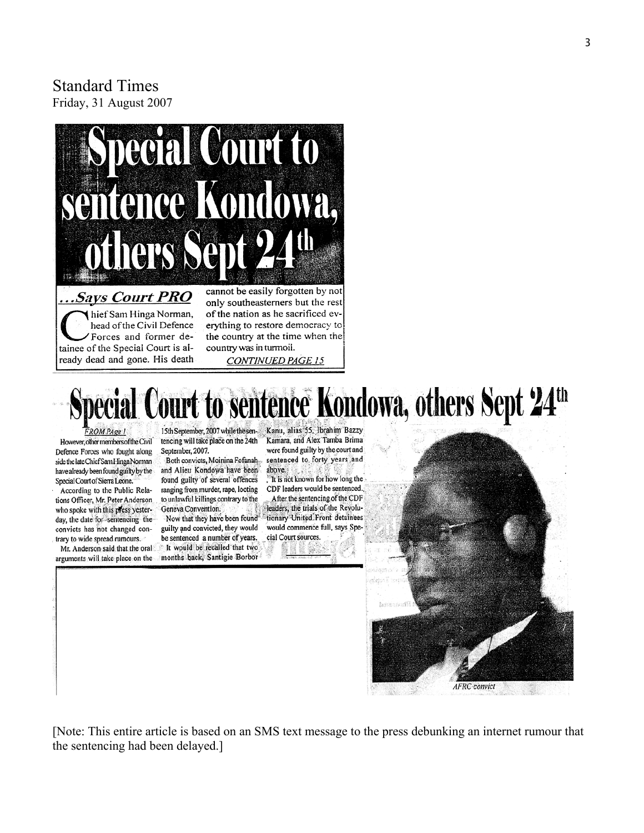# Standard Times Friday, 31 August 2007



# sentence Kondowa, others Sept 24<sup>th</sup>

**FROM PAge 1** 

However, other members of the Civil Defence Forces who fought along side the late Chief Sam Hinga Norman have already been found guilty by the Special Court of Sierra Leone.

According to the Public Relations Officer, Mr. Peter Anderson who spoke with this press yesterday, the date for sentencing the convicts has not changed contrary to wide spread rumours.

Mr. Anderson said that the oral arguments will take place on the

15th September, 2007 while the sentencing will take place on the 24th September, 2007.

Both convicts, Moinina Fofanah and Alieu Kondowa have been found guilty of several offences ranging from murder, rape, looting to unlawful killings contrary to the Geneva Convention.

Now that they have been found guilty and convicted, they would be sentenced a number of years. It would be recalled that two months back, Santigie Borbor Kanu, alias 55, Ibrahim Bazzy Kamara, and Alex Tamba Brima were found guilty by the court and sentenced to forty years and above.

It is not known for how long the CDF leaders would be sentenced. After the sentencing of the CDF leaders, the trials of the Revolutionary United Front detainees would commence full, says Special Court sources.



[Note: This entire article is based on an SMS text message to the press debunking an internet rumour that the sentencing had been delayed.]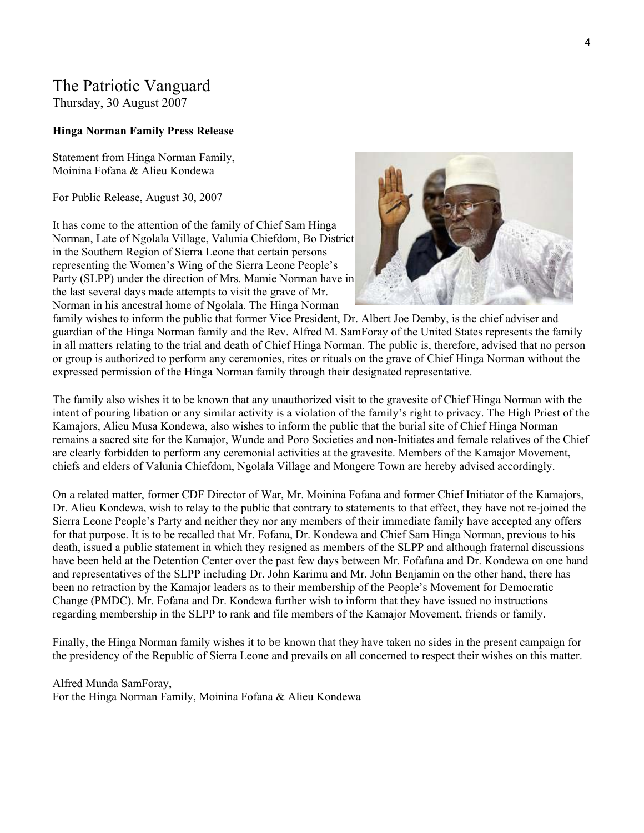# The Patriotic Vanguard

Thursday, 30 August 2007

#### **Hinga Norman Family Press Release**

Statement from Hinga Norman Family, Moinina Fofana & Alieu Kondewa

For Public Release, August 30, 2007

It has come to the attention of the family of Chief Sam Hinga Norman, Late of Ngolala Village, Valunia Chiefdom, Bo District in the Southern Region of Sierra Leone that certain persons representing the Women's Wing of the Sierra Leone People's Party (SLPP) under the direction of Mrs. Mamie Norman have in the last several days made attempts to visit the grave of Mr. Norman in his ancestral home of Ngolala. The Hinga Norman



family wishes to inform the public that former Vice President, Dr. Albert Joe Demby, is the chief adviser and guardian of the Hinga Norman family and the Rev. Alfred M. SamForay of the United States represents the family in all matters relating to the trial and death of Chief Hinga Norman. The public is, therefore, advised that no person or group is authorized to perform any ceremonies, rites or rituals on the grave of Chief Hinga Norman without the expressed permission of the Hinga Norman family through their designated representative.

The family also wishes it to be known that any unauthorized visit to the gravesite of Chief Hinga Norman with the intent of pouring libation or any similar activity is a violation of the family's right to privacy. The High Priest of the Kamajors, Alieu Musa Kondewa, also wishes to inform the public that the burial site of Chief Hinga Norman remains a sacred site for the Kamajor, Wunde and Poro Societies and non-Initiates and female relatives of the Chief are clearly forbidden to perform any ceremonial activities at the gravesite. Members of the Kamajor Movement, chiefs and elders of Valunia Chiefdom, Ngolala Village and Mongere Town are hereby advised accordingly.

On a related matter, former CDF Director of War, Mr. Moinina Fofana and former Chief Initiator of the Kamajors, Dr. Alieu Kondewa, wish to relay to the public that contrary to statements to that effect, they have not re-joined the Sierra Leone People's Party and neither they nor any members of their immediate family have accepted any offers for that purpose. It is to be recalled that Mr. Fofana, Dr. Kondewa and Chief Sam Hinga Norman, previous to his death, issued a public statement in which they resigned as members of the SLPP and although fraternal discussions have been held at the Detention Center over the past few days between Mr. Fofafana and Dr. Kondewa on one hand and representatives of the SLPP including Dr. John Karimu and Mr. John Benjamin on the other hand, there has been no retraction by the Kamajor leaders as to their membership of the People's Movement for Democratic Change (PMDC). Mr. Fofana and Dr. Kondewa further wish to inform that they have issued no instructions regarding membership in the SLPP to rank and file members of the Kamajor Movement, friends or family.

Finally, the Hinga Norman family wishes it to be known that they have taken no sides in the present campaign for the presidency of the Republic of Sierra Leone and prevails on all concerned to respect their wishes on this matter.

Alfred Munda SamForay, For the Hinga Norman Family, Moinina Fofana & Alieu Kondewa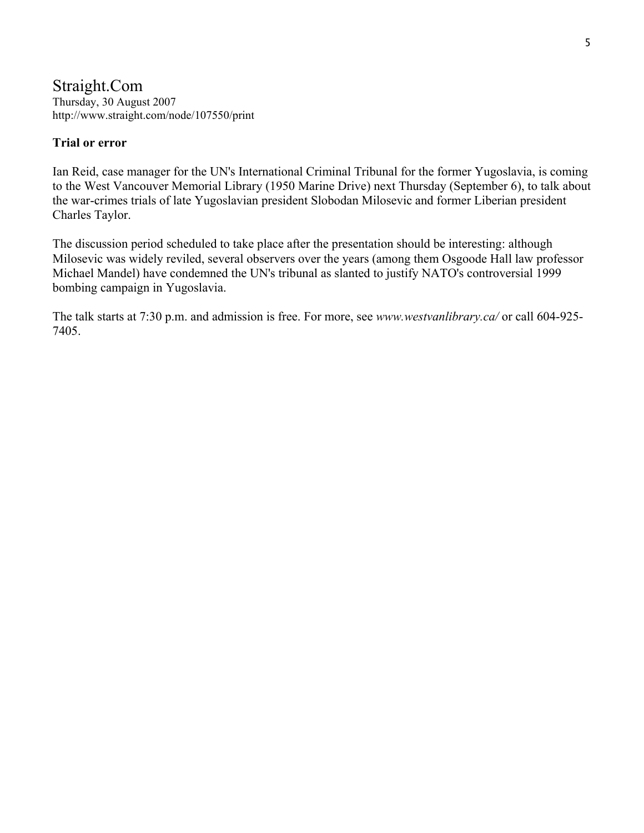#### Straight.Com Thursday, 30 August 2007 http://www.straight.com/node/107550/print

# **Trial or error**

Ian Reid, case manager for the UN's International Criminal Tribunal for the former Yugoslavia, is coming to the West Vancouver Memorial Library (1950 Marine Drive) next Thursday (September 6), to talk about the war-crimes trials of late Yugoslavian president Slobodan Milosevic and former Liberian president Charles Taylor.

The discussion period scheduled to take place after the presentation should be interesting: although Milosevic was widely reviled, several observers over the years (among them Osgoode Hall law professor Michael Mandel) have condemned the UN's tribunal as slanted to justify NATO's controversial 1999 bombing campaign in Yugoslavia.

The talk starts at 7:30 p.m. and admission is free. For more, see *www.westvanlibrary.ca/* or call 604-925- 7405.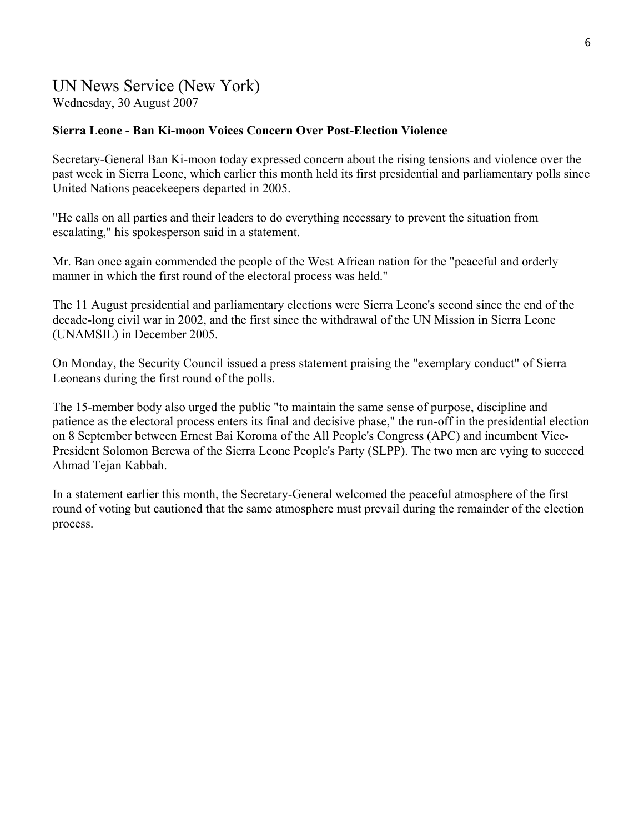# UN News Service (New York) Wednesday, 30 August 2007

#### **Sierra Leone - Ban Ki-moon Voices Concern Over Post-Election Violence**

Secretary-General Ban Ki-moon today expressed concern about the rising tensions and violence over the past week in Sierra Leone, which earlier this month held its first presidential and parliamentary polls since United Nations peacekeepers departed in 2005.

"He calls on all parties and their leaders to do everything necessary to prevent the situation from escalating," his spokesperson said in a statement.

Mr. Ban once again commended the people of the West African nation for the "peaceful and orderly manner in which the first round of the electoral process was held."

The 11 August presidential and parliamentary elections were Sierra Leone's second since the end of the decade-long civil war in 2002, and the first since the withdrawal of the UN Mission in Sierra Leone (UNAMSIL) in December 2005.

On Monday, the Security Council issued a press statement praising the "exemplary conduct" of Sierra Leoneans during the first round of the polls.

The 15-member body also urged the public "to maintain the same sense of purpose, discipline and patience as the electoral process enters its final and decisive phase," the run-off in the presidential election on 8 September between Ernest Bai Koroma of the All People's Congress (APC) and incumbent Vice-President Solomon Berewa of the Sierra Leone People's Party (SLPP). The two men are vying to succeed Ahmad Tejan Kabbah.

In a statement earlier this month, the Secretary-General welcomed the peaceful atmosphere of the first round of voting but cautioned that the same atmosphere must prevail during the remainder of the election process.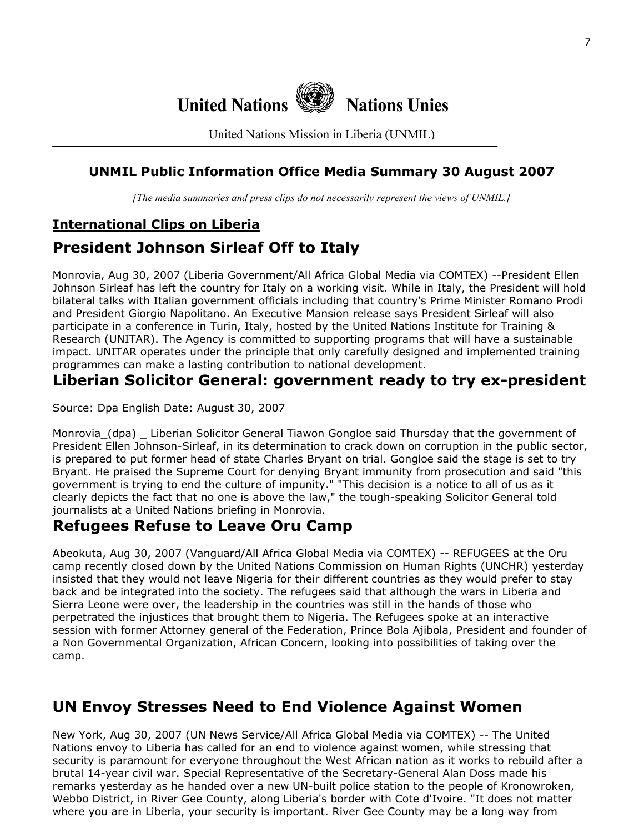

United Nations Mission in Liberia (UNMIL)

# **UNMIL Public Information Office Media Summary 30 August 2007**

*[The media summaries and press clips do not necessarily represent the views of UNMIL.]*

# **International Clips on Liberia**

# **President Johnson Sirleaf Off to Italy**

Monrovia, Aug 30, 2007 (Liberia Government/All Africa Global Media via COMTEX) --President Ellen Johnson Sirleaf has left the country for Italy on a working visit. While in Italy, the President will hold bilateral talks with Italian government officials including that country's Prime Minister Romano Prodi and President Giorgio Napolitano. An Executive Mansion release says President Sirleaf will also participate in a conference in Turin, Italy, hosted by the United Nations Institute for Training & Research (UNITAR). The Agency is committed to supporting programs that will have a sustainable impact. UNITAR operates under the principle that only carefully designed and implemented training programmes can make a lasting contribution to national development.

# **Liberian Solicitor General: government ready to try ex-president**

Source: Dpa English Date: August 30, 2007

Monrovia\_(dpa) \_ Liberian Solicitor General Tiawon Gongloe said Thursday that the government of President Ellen Johnson-Sirleaf, in its determination to crack down on corruption in the public sector, is prepared to put former head of state Charles Bryant on trial. Gongloe said the stage is set to try Bryant. He praised the Supreme Court for denying Bryant immunity from prosecution and said "this government is trying to end the culture of impunity." "This decision is a notice to all of us as it clearly depicts the fact that no one is above the law," the tough-speaking Solicitor General told journalists at a United Nations briefing in Monrovia.

# **Refugees Refuse to Leave Oru Camp**

Abeokuta, Aug 30, 2007 (Vanguard/All Africa Global Media via COMTEX) -- REFUGEES at the Oru camp recently closed down by the United Nations Commission on Human Rights (UNCHR) yesterday insisted that they would not leave Nigeria for their different countries as they would prefer to stay back and be integrated into the society. The refugees said that although the wars in Liberia and Sierra Leone were over, the leadership in the countries was still in the hands of those who perpetrated the injustices that brought them to Nigeria. The Refugees spoke at an interactive session with former Attorney general of the Federation, Prince Bola Ajibola, President and founder of a Non Governmental Organization, African Concern, looking into possibilities of taking over the camp.

# **UN Envoy Stresses Need to End Violence Against Women**

New York, Aug 30, 2007 (UN News Service/All Africa Global Media via COMTEX) -- The United Nations envoy to Liberia has called for an end to violence against women, while stressing that security is paramount for everyone throughout the West African nation as it works to rebuild after a brutal 14-year civil war. Special Representative of the Secretary-General Alan Doss made his remarks yesterday as he handed over a new UN-built police station to the people of Kronowroken, Webbo District, in River Gee County, along Liberia's border with Cote d'Ivoire. "It does not matter where you are in Liberia, your security is important. River Gee County may be a long way from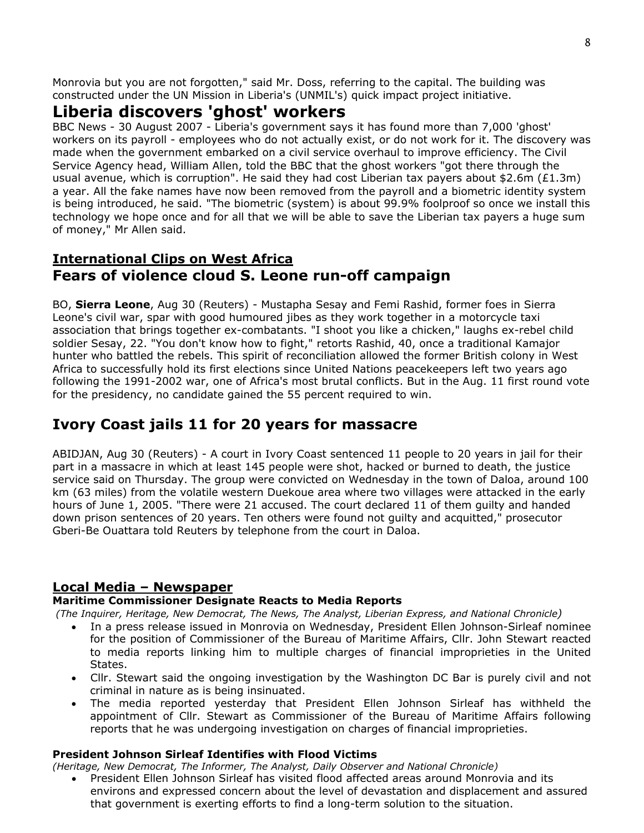Monrovia but you are not forgotten," said Mr. Doss, referring to the capital. The building was constructed under the UN Mission in Liberia's (UNMIL's) quick impact project initiative.

# **Liberia discovers 'ghost' workers**

BBC News - 30 August 2007 - Liberia's government says it has found more than 7,000 'ghost' workers on its payroll - employees who do not actually exist, or do not work for it. The discovery was made when the government embarked on a civil service overhaul to improve efficiency. The Civil Service Agency head, William Allen, told the BBC that the ghost workers "got there through the usual avenue, which is corruption". He said they had cost Liberian tax payers about \$2.6m (£1.3m) a year. All the fake names have now been removed from the payroll and a biometric identity system is being introduced, he said. "The biometric (system) is about 99.9% foolproof so once we install this technology we hope once and for all that we will be able to save the Liberian tax payers a huge sum of money," Mr Allen said.

# **International Clips on West Africa Fears of violence cloud S. Leone run-off campaign**

BO, **Sierra Leone**, Aug 30 (Reuters) - Mustapha Sesay and Femi Rashid, former foes in Sierra Leone's civil war, spar with good humoured jibes as they work together in a motorcycle taxi association that brings together ex-combatants. "I shoot you like a chicken," laughs ex-rebel child soldier Sesay, 22. "You don't know how to fight," retorts Rashid, 40, once a traditional Kamajor hunter who battled the rebels. This spirit of reconciliation allowed the former British colony in West Africa to successfully hold its first elections since United Nations peacekeepers left two years ago following the 1991-2002 war, one of Africa's most brutal conflicts. But in the Aug. 11 first round vote for the presidency, no candidate gained the 55 percent required to win.

# **Ivory Coast jails 11 for 20 years for massacre**

ABIDJAN, Aug 30 (Reuters) - A court in Ivory Coast sentenced 11 people to 20 years in jail for their part in a massacre in which at least 145 people were shot, hacked or burned to death, the justice service said on Thursday. The group were convicted on Wednesday in the town of Daloa, around 100 km (63 miles) from the volatile western Duekoue area where two villages were attacked in the early hours of June 1, 2005. "There were 21 accused. The court declared 11 of them guilty and handed down prison sentences of 20 years. Ten others were found not guilty and acquitted," prosecutor Gberi-Be Ouattara told Reuters by telephone from the court in Daloa.

# **Local Media – Newspaper**

# **Maritime Commissioner Designate Reacts to Media Reports**

 *(The Inquirer, Heritage, New Democrat, The News, The Analyst, Liberian Express, and National Chronicle)*

- In a press release issued in Monrovia on Wednesday, President Ellen Johnson-Sirleaf nominee for the position of Commissioner of the Bureau of Maritime Affairs, Cllr. John Stewart reacted to media reports linking him to multiple charges of financial improprieties in the United States.
- Cllr. Stewart said the ongoing investigation by the Washington DC Bar is purely civil and not criminal in nature as is being insinuated.
- The media reported yesterday that President Ellen Johnson Sirleaf has withheld the appointment of Cllr. Stewart as Commissioner of the Bureau of Maritime Affairs following reports that he was undergoing investigation on charges of financial improprieties.

# **President Johnson Sirleaf Identifies with Flood Victims**

*(Heritage, New Democrat, The Informer, The Analyst, Daily Observer and National Chronicle)* 

• President Ellen Johnson Sirleaf has visited flood affected areas around Monrovia and its environs and expressed concern about the level of devastation and displacement and assured that government is exerting efforts to find a long-term solution to the situation.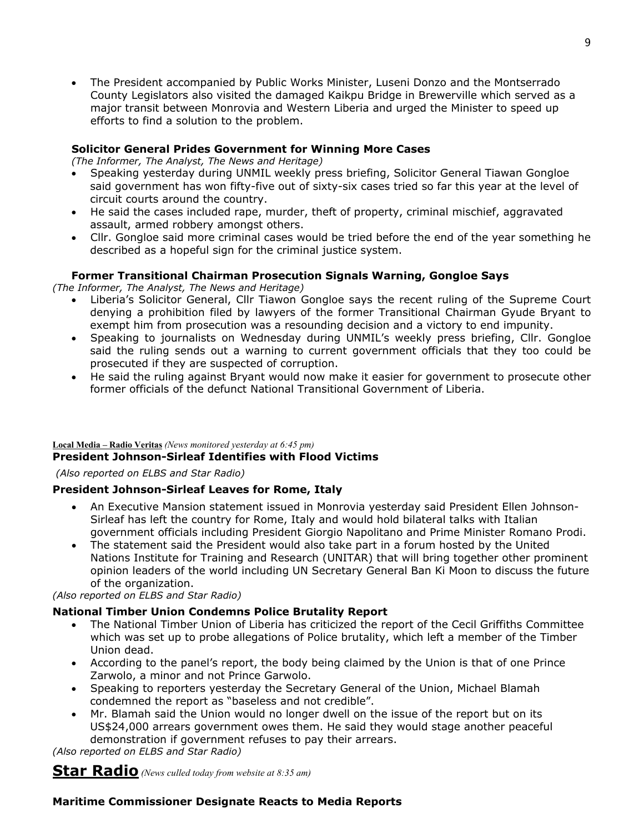• The President accompanied by Public Works Minister, Luseni Donzo and the Montserrado County Legislators also visited the damaged Kaikpu Bridge in Brewerville which served as a major transit between Monrovia and Western Liberia and urged the Minister to speed up efforts to find a solution to the problem.

#### **Solicitor General Prides Government for Winning More Cases**

*(The Informer, The Analyst, The News and Heritage)*

- Speaking yesterday during UNMIL weekly press briefing, Solicitor General Tiawan Gongloe said government has won fifty-five out of sixty-six cases tried so far this year at the level of circuit courts around the country.
- He said the cases included rape, murder, theft of property, criminal mischief, aggravated assault, armed robbery amongst others.
- Cllr. Gongloe said more criminal cases would be tried before the end of the year something he described as a hopeful sign for the criminal justice system.

#### **Former Transitional Chairman Prosecution Signals Warning, Gongloe Says**

*(The Informer, The Analyst, The News and Heritage)*

- Liberia's Solicitor General, Cllr Tiawon Gongloe says the recent ruling of the Supreme Court denying a prohibition filed by lawyers of the former Transitional Chairman Gyude Bryant to exempt him from prosecution was a resounding decision and a victory to end impunity.
- Speaking to journalists on Wednesday during UNMIL's weekly press briefing, Cllr. Gongloe said the ruling sends out a warning to current government officials that they too could be prosecuted if they are suspected of corruption.
- He said the ruling against Bryant would now make it easier for government to prosecute other former officials of the defunct National Transitional Government of Liberia.

#### **Local Media – Radio Veritas** *(News monitored yesterday at 6:45 pm)*

#### **President Johnson-Sirleaf Identifies with Flood Victims**

 *(Also reported on ELBS and Star Radio)*

#### **President Johnson-Sirleaf Leaves for Rome, Italy**

- An Executive Mansion statement issued in Monrovia yesterday said President Ellen Johnson-Sirleaf has left the country for Rome, Italy and would hold bilateral talks with Italian government officials including President Giorgio Napolitano and Prime Minister Romano Prodi.
- The statement said the President would also take part in a forum hosted by the United Nations Institute for Training and Research (UNITAR) that will bring together other prominent opinion leaders of the world including UN Secretary General Ban Ki Moon to discuss the future of the organization.

*(Also reported on ELBS and Star Radio)*

#### **National Timber Union Condemns Police Brutality Report**

- The National Timber Union of Liberia has criticized the report of the Cecil Griffiths Committee which was set up to probe allegations of Police brutality, which left a member of the Timber Union dead.
- According to the panel's report, the body being claimed by the Union is that of one Prince Zarwolo, a minor and not Prince Garwolo.
- Speaking to reporters yesterday the Secretary General of the Union, Michael Blamah condemned the report as "baseless and not credible".
- Mr. Blamah said the Union would no longer dwell on the issue of the report but on its US\$24,000 arrears government owes them. He said they would stage another peaceful demonstration if government refuses to pay their arrears.

*(Also reported on ELBS and Star Radio)*

**Star Radio** *(News culled today from website at 8:35 am)* 

# **Maritime Commissioner Designate Reacts to Media Reports**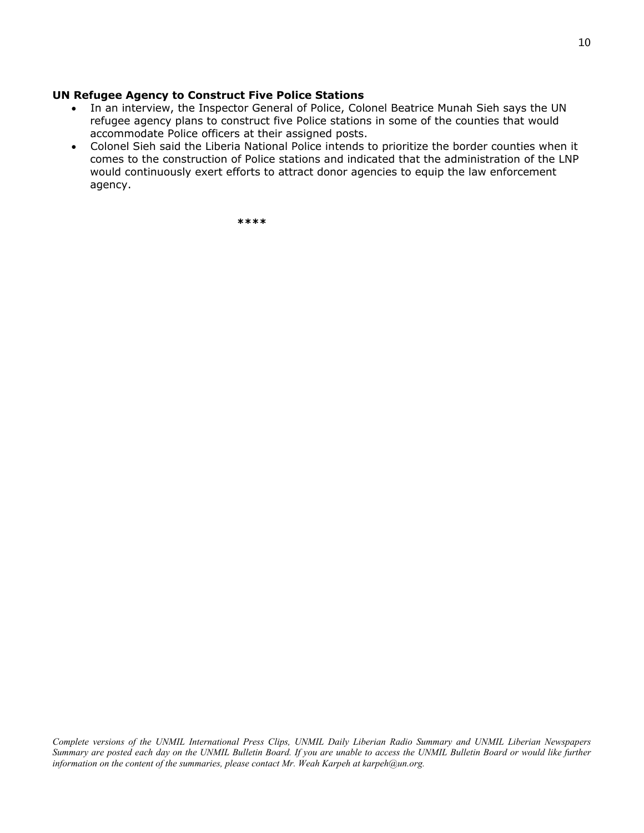#### **UN Refugee Agency to Construct Five Police Stations**

- In an interview, the Inspector General of Police, Colonel Beatrice Munah Sieh says the UN refugee agency plans to construct five Police stations in some of the counties that would accommodate Police officers at their assigned posts.
- Colonel Sieh said the Liberia National Police intends to prioritize the border counties when it comes to the construction of Police stations and indicated that the administration of the LNP would continuously exert efforts to attract donor agencies to equip the law enforcement agency.

 **\*\*\*\***